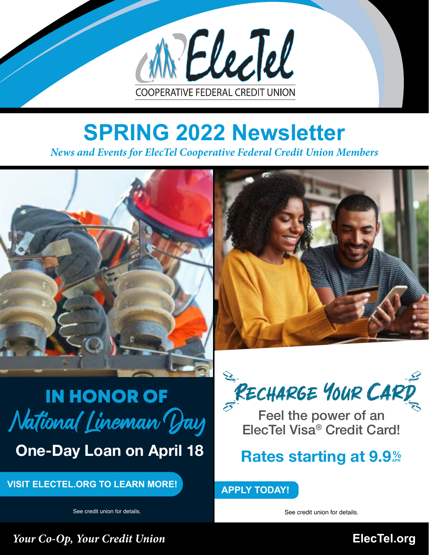

# **SPRING 2022 Newsletter**

*News and Events for ElecTel Cooperative Federal Credit Union Members*





## IN HONOR OF National Lineman Day

One-Day Loan on April 18

**VISIT ELECTEL.ORG TO LEARN MORE!**

See credit union for details.

RECHARGE YOUR CARD

Feel the power of an ElecTel Visa® Credit Card!

#### **Rates starting at 9.9**%

**APPLY TODAY!**

See credit union for details.

*Your Co-Op, Your Credit Union* **[ElecTel.org](http://ElecTel.org)**